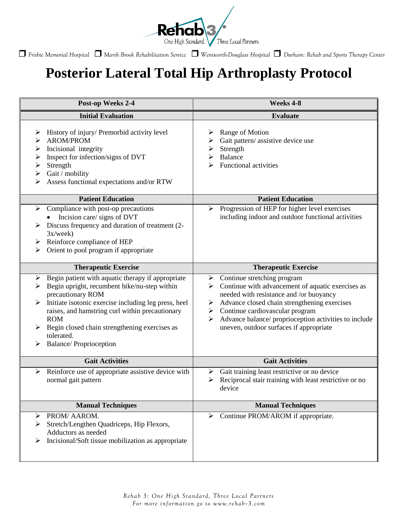

*Frisbie Memorial Hospital Marsh Brook Rehabilitation Service Wentworth-Douglass Hospital Durham: Rehab and Sports Therapy Center*

## **Posterior Lateral Total Hip Arthroplasty Protocol**

| Post-op Weeks 2-4                                                                                                                                                                                                                                                                                                                                         | Weeks 4-8                                                                                                                                                                                                                                                                                                                              |
|-----------------------------------------------------------------------------------------------------------------------------------------------------------------------------------------------------------------------------------------------------------------------------------------------------------------------------------------------------------|----------------------------------------------------------------------------------------------------------------------------------------------------------------------------------------------------------------------------------------------------------------------------------------------------------------------------------------|
| <b>Initial Evaluation</b>                                                                                                                                                                                                                                                                                                                                 | <b>Evaluate</b>                                                                                                                                                                                                                                                                                                                        |
| History of injury/ Premorbid activity level<br>➤<br><b>AROM/PROM</b><br>⋗<br>Incisional integrity<br>➤<br>Inspect for infection/signs of DVT<br>➤<br>Strength<br>➤<br>Gait / mobility<br>➤<br>Assess functional expectations and/or RTW                                                                                                                   | Range of Motion<br>➤<br>Gait pattern/assistive device use<br>➤<br>Strength<br>➤<br>Balance<br>⋗<br><b>Functional activities</b><br>➢                                                                                                                                                                                                   |
| <b>Patient Education</b>                                                                                                                                                                                                                                                                                                                                  | <b>Patient Education</b>                                                                                                                                                                                                                                                                                                               |
| Compliance with post-op precautions<br>➤<br>Incision care/ signs of DVT<br>Discuss frequency and duration of treatment (2-<br>3x/week)<br>Reinforce compliance of HEP<br>➤<br>Orient to pool program if appropriate<br>➤                                                                                                                                  | Progression of HEP for higher level exercises<br>➤<br>including indoor and outdoor functional activities                                                                                                                                                                                                                               |
| <b>Therapeutic Exercise</b>                                                                                                                                                                                                                                                                                                                               | <b>Therapeutic Exercise</b>                                                                                                                                                                                                                                                                                                            |
| Begin patient with aquatic therapy if appropriate<br>➤<br>Begin upright, recumbent bike/nu-step within<br>➤<br>precautionary ROM<br>Initiate isotonic exercise including leg press, heel<br>raises, and hamstring curl within precautionary<br><b>ROM</b><br>Begin closed chain strengthening exercises as<br>tolerated.<br><b>Balance/Proprioception</b> | Continue stretching program<br>➤<br>Continue with advancement of aquatic exercises as<br>➤<br>needed with resistance and /or buoyancy<br>Advance closed chain strengthening exercises<br>➤<br>Continue cardiovascular program<br>➤<br>Advance balance/ proprioception activities to include<br>uneven, outdoor surfaces if appropriate |
| <b>Gait Activities</b>                                                                                                                                                                                                                                                                                                                                    | <b>Gait Activities</b>                                                                                                                                                                                                                                                                                                                 |
| Reinforce use of appropriate assistive device with<br>➤<br>normal gait pattern                                                                                                                                                                                                                                                                            | Gait training least restrictive or no device<br>➤<br>Reciprocal stair training with least restrictive or no<br>≻<br>device                                                                                                                                                                                                             |
| <b>Manual Techniques</b>                                                                                                                                                                                                                                                                                                                                  | <b>Manual Techniques</b>                                                                                                                                                                                                                                                                                                               |
| PROM/ AAROM.<br>➤<br>Stretch/Lengthen Quadriceps, Hip Flexors,<br>Adductors as needed<br>Incisional/Soft tissue mobilization as appropriate                                                                                                                                                                                                               | $\triangleright$ Continue PROM/AROM if appropriate.                                                                                                                                                                                                                                                                                    |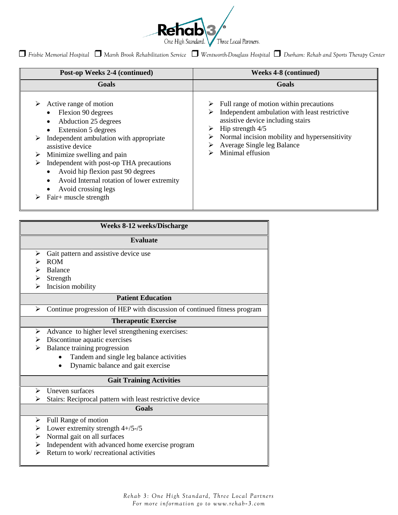

*Frisbie Memorial Hospital Marsh Brook Rehabilitation Service Wentworth-Douglass Hospital Durham: Rehab and Sports Therapy Center*

| Post-op Weeks 2-4 (continued)                                                                                                                                                                                                                                                                                                                                                | <b>Weeks 4-8 (continued)</b>                                                                                                                                                                                                                                                      |
|------------------------------------------------------------------------------------------------------------------------------------------------------------------------------------------------------------------------------------------------------------------------------------------------------------------------------------------------------------------------------|-----------------------------------------------------------------------------------------------------------------------------------------------------------------------------------------------------------------------------------------------------------------------------------|
| Goals                                                                                                                                                                                                                                                                                                                                                                        | Goals                                                                                                                                                                                                                                                                             |
| Active range of motion<br>Flexion 90 degrees<br>Abduction 25 degrees<br>Extension 5 degrees<br>Independent ambulation with appropriate<br>assistive device<br>Minimize swelling and pain<br>➤<br>Independent with post-op THA precautions<br>Avoid hip flexion past 90 degrees<br>Avoid Internal rotation of lower extremity<br>Avoid crossing legs<br>Fair+ muscle strength | $\triangleright$ Full range of motion within precautions<br>Independent ambulation with least restrictive<br>assistive device including stairs<br>Hip strength $4/5$<br>➤<br>Normal incision mobility and hypersensitivity<br>➤<br>Average Single leg Balance<br>Minimal effusion |

| <b>Weeks 8-12 weeks/Discharge</b>                                             |  |  |
|-------------------------------------------------------------------------------|--|--|
| <b>Evaluate</b>                                                               |  |  |
| Gait pattern and assistive device use<br>➤                                    |  |  |
| <b>ROM</b>                                                                    |  |  |
| Balance                                                                       |  |  |
| Strength<br>➤                                                                 |  |  |
| Incision mobility                                                             |  |  |
| <b>Patient Education</b>                                                      |  |  |
| Continue progression of HEP with discussion of continued fitness program<br>➤ |  |  |
| <b>Therapeutic Exercise</b>                                                   |  |  |
| Advance to higher level strengthening exercises:<br>➤                         |  |  |
| $\triangleright$ Discontinue aquatic exercises                                |  |  |
| Balance training progression<br>≻                                             |  |  |
| Tandem and single leg balance activities                                      |  |  |
| Dynamic balance and gait exercise                                             |  |  |
| <b>Gait Training Activities</b>                                               |  |  |
| Uneven surfaces<br>➤                                                          |  |  |
| Stairs: Reciprocal pattern with least restrictive device<br>⋗                 |  |  |
| <b>Goals</b>                                                                  |  |  |
| Full Range of motion<br>≻                                                     |  |  |
| Lower extremity strength 4+/5-/5<br>➤                                         |  |  |
| Normal gait on all surfaces<br>≻                                              |  |  |
| Independent with advanced home exercise program<br>➤                          |  |  |
| Return to work/recreational activities                                        |  |  |